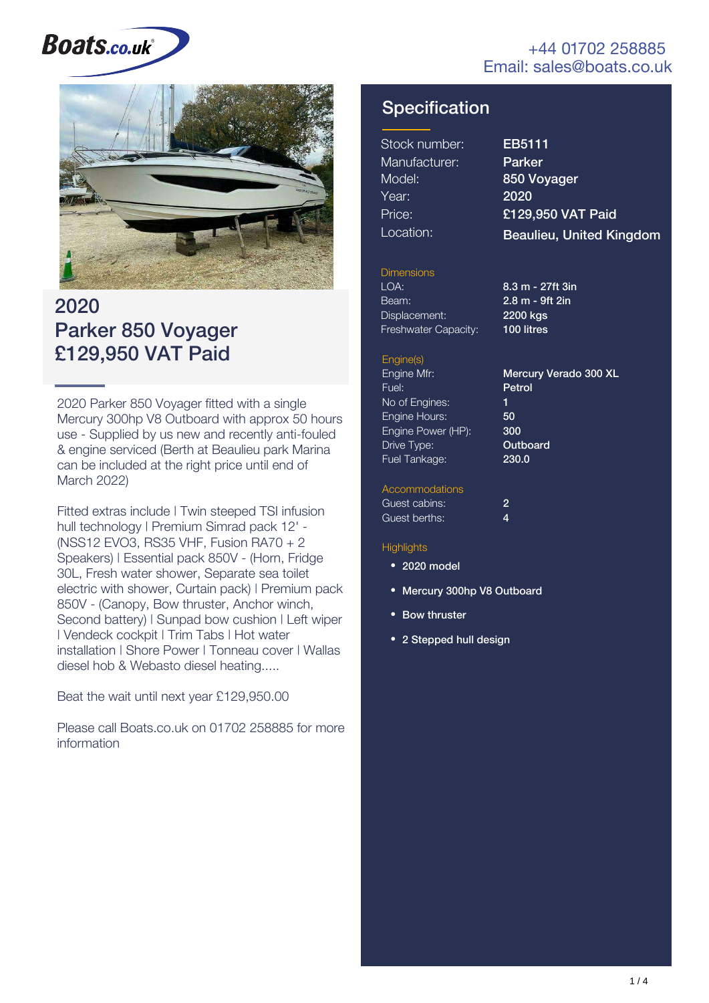#### +44 01702 258885 Email: sales@boats.co.uk

# **Boats.co.uk**



# 2020 Parker 850 Voyager £129,950 VAT Paid

2020 Parker 850 Voyager fitted with a single Mercury 300hp V8 Outboard with approx 50 hours use - Supplied by us new and recently anti-fouled & engine serviced (Berth at Beaulieu park Marina can be included at the right price until end of March 2022)

Fitted extras include | Twin steeped TSI infusion hull technology | Premium Simrad pack 12' -(NSS12 EVO3, RS35 VHF, Fusion RA70 + 2 Speakers) | Essential pack 850V - (Horn, Fridge 30L, Fresh water shower, Separate sea toilet electric with shower, Curtain pack) | Premium pack 850V - (Canopy, Bow thruster, Anchor winch, Second battery) | Sunpad bow cushion | Left wiper | Vendeck cockpit | Trim Tabs | Hot water installation | Shore Power | Tonneau cover | Wallas diesel hob & Webasto diesel heating.....

Beat the wait until next year £129,950.00

Please call Boats.co.uk on 01702 258885 for more information

### **Specification**

| Stock number: |
|---------------|
| Manufacturer: |
| Model:        |
| Year:         |
| Price:        |
| Location:     |

EB5111 Parker 850 Voyager 2020 £129,950 VAT Paid Beaulieu, United Kingdom

#### Dimensions

LOA: 8.3 m - 27ft 3in Beam: Displacement: Freshwater Capacity:

2.8 m - 9ft 2in 2200 kgs 100 litres

#### Engine(s)

Engine Mfr: Fuel: No of Engines: Engine Hours: Engine Power (HP): Drive Type: Fuel Tankage: Petrol 1 50 300 **Outboard** 230.0

Mercury Verado 300 XL

#### **Accommodations**

| Guest cabins: |  |
|---------------|--|
| Guest berths: |  |

#### **Highlights**

- 2020 model
- Mercury 300hp V8 Outboard
- **Bow thruster**
- 2 Stepped hull design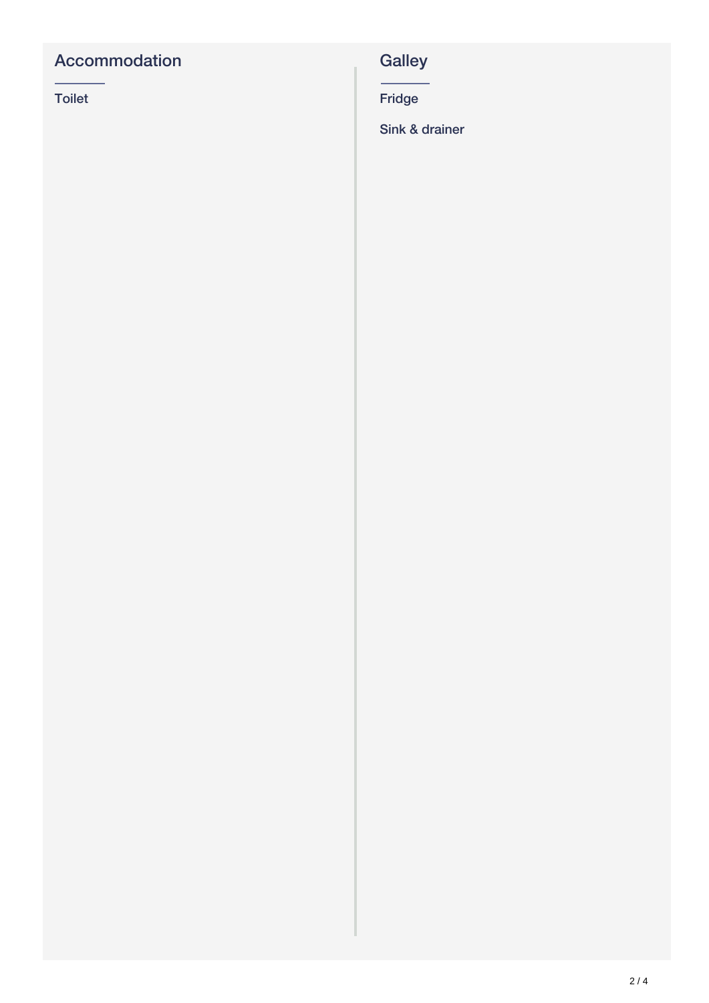## Accommodation

Toilet

# **Galley**

Fridge

Sink & drainer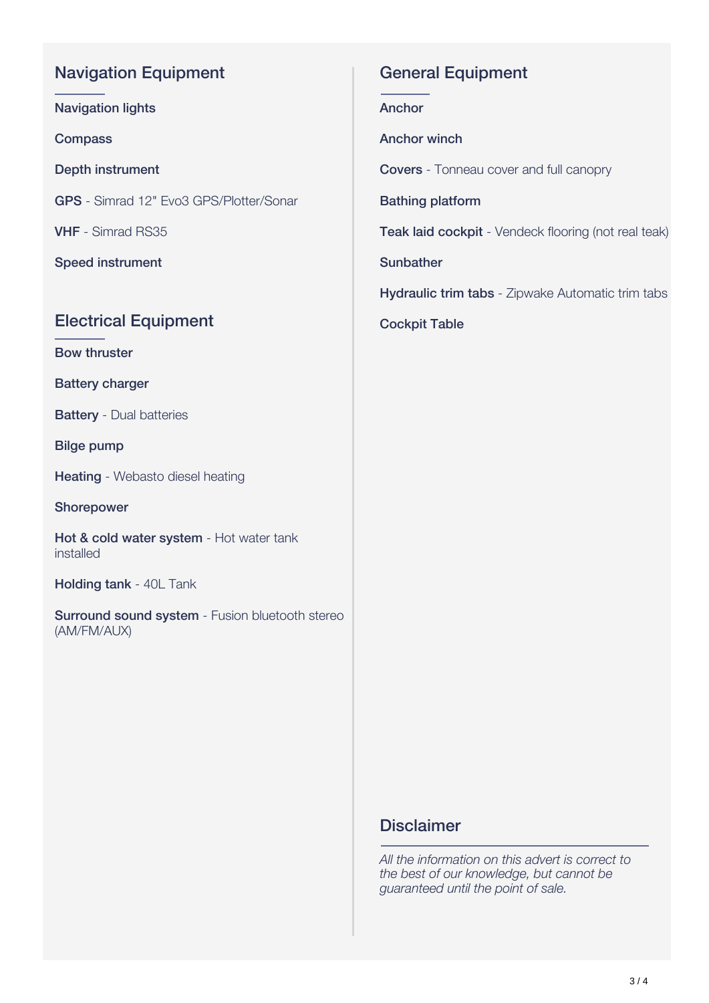#### Navigation Equipment

Navigation lights

**Compass** 

Depth instrument

GPS - Simrad 12" Evo3 GPS/Plotter/Sonar

VHF - Simrad RS35

Speed instrument

#### Electrical Equipment

Bow thruster

Battery charger

**Battery** - Dual batteries

Bilge pump

**Heating** - Webasto diesel heating

Shorepower

Hot & cold water system - Hot water tank installed

Holding tank - 40L Tank

Surround sound system - Fusion bluetooth stereo (AM/FM/AUX)

#### General Equipment

Anchor

Anchor winch

Covers - Tonneau cover and full canopry

Bathing platform

Teak laid cockpit - Vendeck flooring (not real teak)

**Sunbather** 

**Hydraulic trim tabs** - Zipwake Automatic trim tabs

Cockpit Table

#### **Disclaimer**

*All the information on this advert is correct to the best of our knowledge, but cannot be guaranteed until the point of sale.*